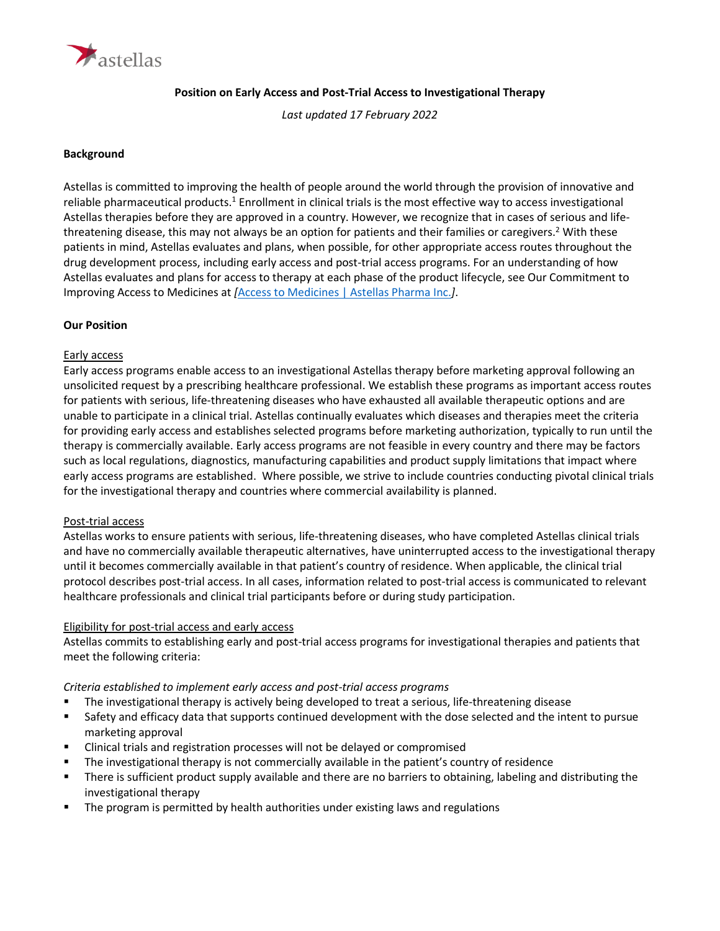

## **Position on Early Access and Post-Trial Access to Investigational Therapy**

*Last updated 17 February 2022*

## **Background**

Astellas is committed to improving the health of people around the world through the provision of innovative and reliable pharmaceutical products.<sup>1</sup> Enrollment in clinical trials is the most effective way to access investigational Astellas therapies before they are approved in a country. However, we recognize that in cases of serious and lifethreatening disease, this may not always be an option for patients and their families or caregivers. <sup>2</sup> With these patients in mind, Astellas evaluates and plans, when possible, for other appropriate access routes throughout the drug development process, including early access and post-trial access programs. For an understanding of how Astellas evaluates and plans for access to therapy at each phase of the product lifecycle, see Our Commitment to Improving Access to Medicines at *[*[Access to Medicines | Astellas Pharma Inc.](https://www.astellas.com/en/sustainability/access-to-medicines)*]*.

## **Our Position**

## Early access

Early access programs enable access to an investigational Astellas therapy before marketing approval following an unsolicited request by a prescribing healthcare professional. We establish these programs as important access routes for patients with serious, life-threatening diseases who have exhausted all available therapeutic options and are unable to participate in a clinical trial. Astellas continually evaluates which diseases and therapies meet the criteria for providing early access and establishes selected programs before marketing authorization, typically to run until the therapy is commercially available. Early access programs are not feasible in every country and there may be factors such as local regulations, diagnostics, manufacturing capabilities and product supply limitations that impact where early access programs are established. Where possible, we strive to include countries conducting pivotal clinical trials for the investigational therapy and countries where commercial availability is planned.

## Post-trial access

Astellas works to ensure patients with serious, life-threatening diseases, who have completed Astellas clinical trials and have no commercially available therapeutic alternatives, have uninterrupted access to the investigational therapy until it becomes commercially available in that patient's country of residence. When applicable, the clinical trial protocol describes post-trial access. In all cases, information related to post-trial access is communicated to relevant healthcare professionals and clinical trial participants before or during study participation.

## Eligibility for post-trial access and early access

Astellas commits to establishing early and post-trial access programs for investigational therapies and patients that meet the following criteria:

# *Criteria established to implement early access and post-trial access programs*

- The investigational therapy is actively being developed to treat a serious, life-threatening disease
- Safety and efficacy data that supports continued development with the dose selected and the intent to pursue marketing approval
- Clinical trials and registration processes will not be delayed or compromised
- The investigational therapy is not commercially available in the patient's country of residence
- There is sufficient product supply available and there are no barriers to obtaining, labeling and distributing the investigational therapy
- The program is permitted by health authorities under existing laws and regulations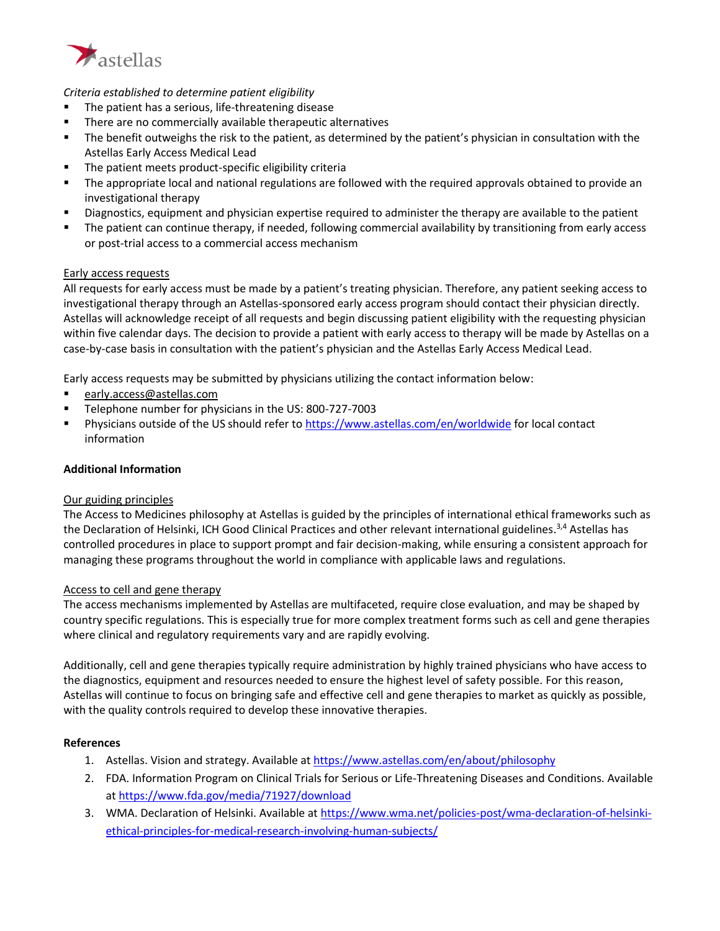

# *Criteria established to determine patient eligibility*

- The patient has a serious, life-threatening disease
- There are no commercially available therapeutic alternatives
- The benefit outweighs the risk to the patient, as determined by the patient's physician in consultation with the Astellas Early Access Medical Lead
- The patient meets product-specific eligibility criteria
- The appropriate local and national regulations are followed with the required approvals obtained to provide an investigational therapy
- Diagnostics, equipment and physician expertise required to administer the therapy are available to the patient
- The patient can continue therapy, if needed, following commercial availability by transitioning from early access or post-trial access to a commercial access mechanism

## Early access requests

All requests for early access must be made by a patient's treating physician. Therefore, any patient seeking access to investigational therapy through an Astellas-sponsored early access program should contact their physician directly. Astellas will acknowledge receipt of all requests and begin discussing patient eligibility with the requesting physician within five calendar days. The decision to provide a patient with early access to therapy will be made by Astellas on a case-by-case basis in consultation with the patient's physician and the Astellas Early Access Medical Lead.

Early access requests may be submitted by physicians utilizing the contact information below:

- [early.access@astellas.com](mailto:expanded.access@astellas.com)
- Telephone number for physicians in the US: 800-727-7003
- Physicians outside of the US should refer t[o https://www.astellas.com/en/worldwide](https://www.astellas.com/en/worldwide) for local contact information

## **Additional Information**

## Our guiding principles

The Access to Medicines philosophy at Astellas is guided by the principles of international ethical frameworks such as the Declaration of Helsinki, ICH Good Clinical Practices and other relevant international guidelines.<sup>3,4</sup> Astellas has controlled procedures in place to support prompt and fair decision-making, while ensuring a consistent approach for managing these programs throughout the world in compliance with applicable laws and regulations.

#### Access to cell and gene therapy

The access mechanisms implemented by Astellas are multifaceted, require close evaluation, and may be shaped by country specific regulations. This is especially true for more complex treatment forms such as cell and gene therapies where clinical and regulatory requirements vary and are rapidly evolving.

Additionally, cell and gene therapies typically require administration by highly trained physicians who have access to the diagnostics, equipment and resources needed to ensure the highest level of safety possible. For this reason, Astellas will continue to focus on bringing safe and effective cell and gene therapies to market as quickly as possible, with the quality controls required to develop these innovative therapies.

#### **References**

- 1. Astellas. Vision and strategy. Available a[t https://www.astellas.com/en/about/philosophy](https://www.astellas.com/en/about/philosophy)
- 2. FDA. Information Program on Clinical Trials for Serious or Life-Threatening Diseases and Conditions. Available at<https://www.fda.gov/media/71927/download>
- 3. WMA. Declaration of Helsinki. Available a[t https://www.wma.net/policies-post/wma-declaration-of-helsinki](https://www.wma.net/policies-post/wma-declaration-of-helsinki-ethical-principles-for-medical-research-involving-human-subjects/)[ethical-principles-for-medical-research-involving-human-subjects/](https://www.wma.net/policies-post/wma-declaration-of-helsinki-ethical-principles-for-medical-research-involving-human-subjects/)